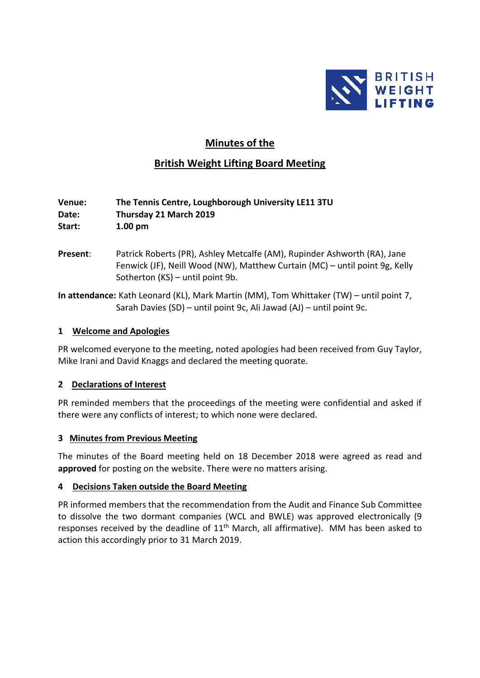

# **Minutes of the**

# **British Weight Lifting Board Meeting**

### **Venue: The Tennis Centre, Loughborough University LE11 3TU Date: Thursday 21 March 2019 Start: 1.00 pm**

- **Present**: Patrick Roberts (PR), Ashley Metcalfe (AM), Rupinder Ashworth (RA), Jane Fenwick (JF), Neill Wood (NW), Matthew Curtain (MC) – until point 9g, Kelly Sotherton (KS) – until point 9b.
- **In attendance:** Kath Leonard (KL), Mark Martin (MM), Tom Whittaker (TW) until point 7, Sarah Davies (SD) – until point 9c, Ali Jawad (AJ) – until point 9c.

#### **1 Welcome and Apologies**

PR welcomed everyone to the meeting, noted apologies had been received from Guy Taylor, Mike Irani and David Knaggs and declared the meeting quorate.

### **2 Declarations of Interest**

PR reminded members that the proceedings of the meeting were confidential and asked if there were any conflicts of interest; to which none were declared.

#### **3 Minutes from Previous Meeting**

The minutes of the Board meeting held on 18 December 2018 were agreed as read and **approved** for posting on the website. There were no matters arising.

#### **4 Decisions Taken outside the Board Meeting**

PR informed members that the recommendation from the Audit and Finance Sub Committee to dissolve the two dormant companies (WCL and BWLE) was approved electronically (9 responses received by the deadline of 11<sup>th</sup> March, all affirmative). MM has been asked to action this accordingly prior to 31 March 2019.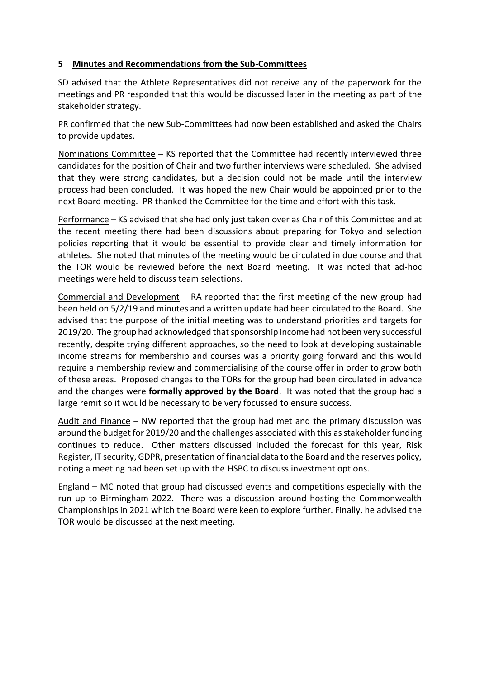### **5 Minutes and Recommendations from the Sub-Committees**

SD advised that the Athlete Representatives did not receive any of the paperwork for the meetings and PR responded that this would be discussed later in the meeting as part of the stakeholder strategy.

PR confirmed that the new Sub-Committees had now been established and asked the Chairs to provide updates.

Nominations Committee – KS reported that the Committee had recently interviewed three candidates for the position of Chair and two further interviews were scheduled. She advised that they were strong candidates, but a decision could not be made until the interview process had been concluded. It was hoped the new Chair would be appointed prior to the next Board meeting. PR thanked the Committee for the time and effort with this task.

Performance – KS advised that she had only just taken over as Chair of this Committee and at the recent meeting there had been discussions about preparing for Tokyo and selection policies reporting that it would be essential to provide clear and timely information for athletes. She noted that minutes of the meeting would be circulated in due course and that the TOR would be reviewed before the next Board meeting. It was noted that ad-hoc meetings were held to discuss team selections.

Commercial and Development – RA reported that the first meeting of the new group had been held on 5/2/19 and minutes and a written update had been circulated to the Board. She advised that the purpose of the initial meeting was to understand priorities and targets for 2019/20. The group had acknowledged that sponsorship income had not been very successful recently, despite trying different approaches, so the need to look at developing sustainable income streams for membership and courses was a priority going forward and this would require a membership review and commercialising of the course offer in order to grow both of these areas. Proposed changes to the TORs for the group had been circulated in advance and the changes were **formally approved by the Board**. It was noted that the group had a large remit so it would be necessary to be very focussed to ensure success.

Audit and Finance – NW reported that the group had met and the primary discussion was around the budget for 2019/20 and the challenges associated with this as stakeholder funding continues to reduce. Other matters discussed included the forecast for this year, Risk Register, IT security, GDPR, presentation of financial data to the Board and the reserves policy, noting a meeting had been set up with the HSBC to discuss investment options.

England – MC noted that group had discussed events and competitions especially with the run up to Birmingham 2022. There was a discussion around hosting the Commonwealth Championships in 2021 which the Board were keen to explore further. Finally, he advised the TOR would be discussed at the next meeting.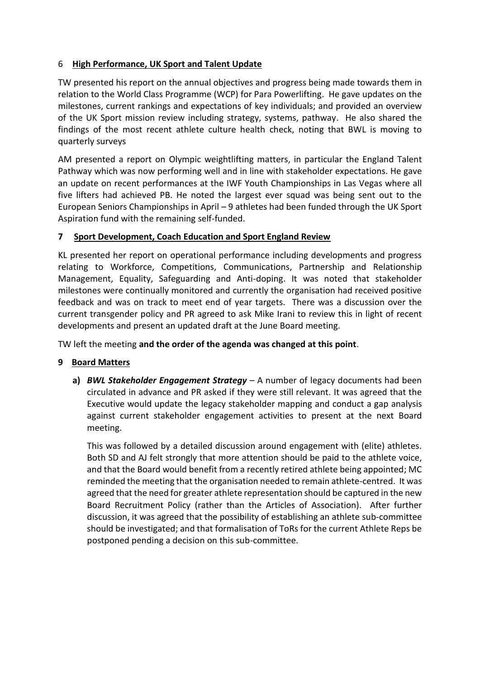# 6 **High Performance, UK Sport and Talent Update**

TW presented his report on the annual objectives and progress being made towards them in relation to the World Class Programme (WCP) for Para Powerlifting. He gave updates on the milestones, current rankings and expectations of key individuals; and provided an overview of the UK Sport mission review including strategy, systems, pathway. He also shared the findings of the most recent athlete culture health check, noting that BWL is moving to quarterly surveys

AM presented a report on Olympic weightlifting matters, in particular the England Talent Pathway which was now performing well and in line with stakeholder expectations. He gave an update on recent performances at the IWF Youth Championships in Las Vegas where all five lifters had achieved PB. He noted the largest ever squad was being sent out to the European Seniors Championships in April – 9 athletes had been funded through the UK Sport Aspiration fund with the remaining self-funded.

### **7 Sport Development, Coach Education and Sport England Review**

KL presented her report on operational performance including developments and progress relating to Workforce, Competitions, Communications, Partnership and Relationship Management, Equality, Safeguarding and Anti-doping. It was noted that stakeholder milestones were continually monitored and currently the organisation had received positive feedback and was on track to meet end of year targets. There was a discussion over the current transgender policy and PR agreed to ask Mike Irani to review this in light of recent developments and present an updated draft at the June Board meeting.

TW left the meeting **and the order of the agenda was changed at this point**.

# **9 Board Matters**

**a)** *BWL Stakeholder Engagement Strategy* – A number of legacy documents had been circulated in advance and PR asked if they were still relevant. It was agreed that the Executive would update the legacy stakeholder mapping and conduct a gap analysis against current stakeholder engagement activities to present at the next Board meeting.

This was followed by a detailed discussion around engagement with (elite) athletes. Both SD and AJ felt strongly that more attention should be paid to the athlete voice, and that the Board would benefit from a recently retired athlete being appointed; MC reminded the meeting that the organisation needed to remain athlete-centred. It was agreed that the need for greater athlete representation should be captured in the new Board Recruitment Policy (rather than the Articles of Association). After further discussion, it was agreed that the possibility of establishing an athlete sub-committee should be investigated; and that formalisation of ToRs for the current Athlete Reps be postponed pending a decision on this sub-committee.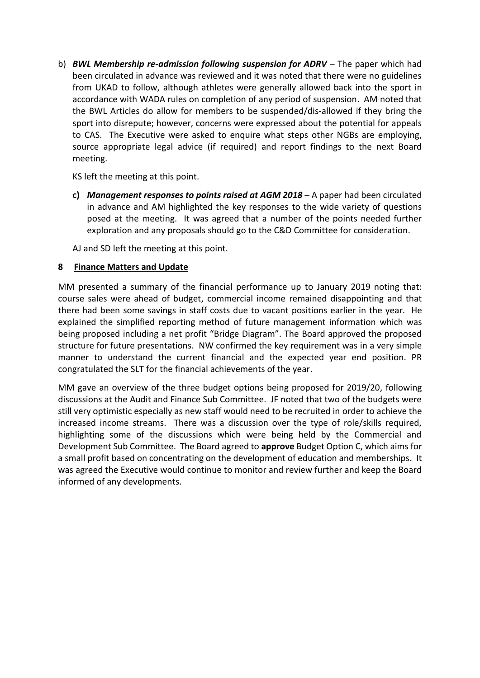b) *BWL Membership re***-***admission following suspension for ADRV* – The paper which had been circulated in advance was reviewed and it was noted that there were no guidelines from UKAD to follow, although athletes were generally allowed back into the sport in accordance with WADA rules on completion of any period of suspension. AM noted that the BWL Articles do allow for members to be suspended/dis-allowed if they bring the sport into disrepute; however, concerns were expressed about the potential for appeals to CAS. The Executive were asked to enquire what steps other NGBs are employing, source appropriate legal advice (if required) and report findings to the next Board meeting.

KS left the meeting at this point.

**c)** *Management responses to points raised at AGM 2018* – A paper had been circulated in advance and AM highlighted the key responses to the wide variety of questions posed at the meeting. It was agreed that a number of the points needed further exploration and any proposals should go to the C&D Committee for consideration.

AJ and SD left the meeting at this point.

### **8 Finance Matters and Update**

MM presented a summary of the financial performance up to January 2019 noting that: course sales were ahead of budget, commercial income remained disappointing and that there had been some savings in staff costs due to vacant positions earlier in the year. He explained the simplified reporting method of future management information which was being proposed including a net profit "Bridge Diagram". The Board approved the proposed structure for future presentations. NW confirmed the key requirement was in a very simple manner to understand the current financial and the expected year end position. PR congratulated the SLT for the financial achievements of the year.

MM gave an overview of the three budget options being proposed for 2019/20, following discussions at the Audit and Finance Sub Committee. JF noted that two of the budgets were still very optimistic especially as new staff would need to be recruited in order to achieve the increased income streams. There was a discussion over the type of role/skills required, highlighting some of the discussions which were being held by the Commercial and Development Sub Committee. The Board agreed to **approve** Budget Option C, which aims for a small profit based on concentrating on the development of education and memberships. It was agreed the Executive would continue to monitor and review further and keep the Board informed of any developments.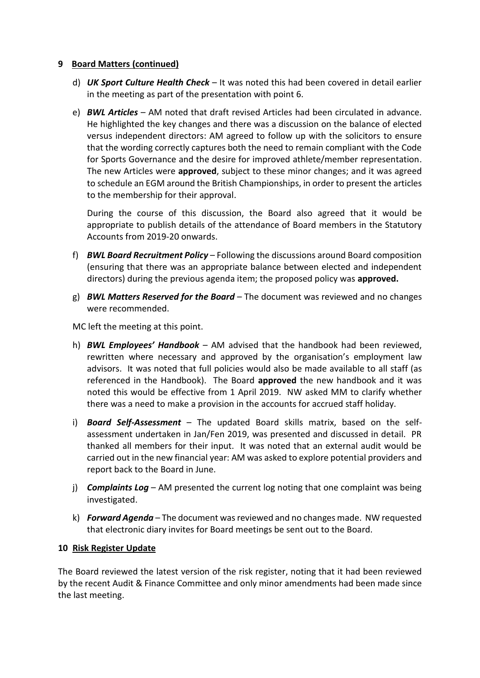#### **9 Board Matters (continued)**

- d) *UK Sport Culture Health Check* It was noted this had been covered in detail earlier in the meeting as part of the presentation with point 6.
- e) *BWL Articles* AM noted that draft revised Articles had been circulated in advance. He highlighted the key changes and there was a discussion on the balance of elected versus independent directors: AM agreed to follow up with the solicitors to ensure that the wording correctly captures both the need to remain compliant with the Code for Sports Governance and the desire for improved athlete/member representation. The new Articles were **approved**, subject to these minor changes; and it was agreed to schedule an EGM around the British Championships, in order to present the articles to the membership for their approval.

During the course of this discussion, the Board also agreed that it would be appropriate to publish details of the attendance of Board members in the Statutory Accounts from 2019-20 onwards.

- f) *BWL Board Recruitment Policy* Following the discussions around Board composition (ensuring that there was an appropriate balance between elected and independent directors) during the previous agenda item; the proposed policy was **approved.**
- g) *BWL Matters Reserved for the Board* The document was reviewed and no changes were recommended.

MC left the meeting at this point.

- h) *BWL Employees' Handbook*  AM advised that the handbook had been reviewed, rewritten where necessary and approved by the organisation's employment law advisors. It was noted that full policies would also be made available to all staff (as referenced in the Handbook). The Board **approved** the new handbook and it was noted this would be effective from 1 April 2019. NW asked MM to clarify whether there was a need to make a provision in the accounts for accrued staff holiday.
- i) *Board Self-Assessment* The updated Board skills matrix, based on the selfassessment undertaken in Jan/Fen 2019, was presented and discussed in detail. PR thanked all members for their input. It was noted that an external audit would be carried out in the new financial year: AM was asked to explore potential providers and report back to the Board in June.
- j) *Complaints Log*  AM presented the current log noting that one complaint was being investigated.
- k) *Forward Agenda*  The document was reviewed and no changes made. NW requested that electronic diary invites for Board meetings be sent out to the Board.

### **10 Risk Register Update**

The Board reviewed the latest version of the risk register, noting that it had been reviewed by the recent Audit & Finance Committee and only minor amendments had been made since the last meeting.